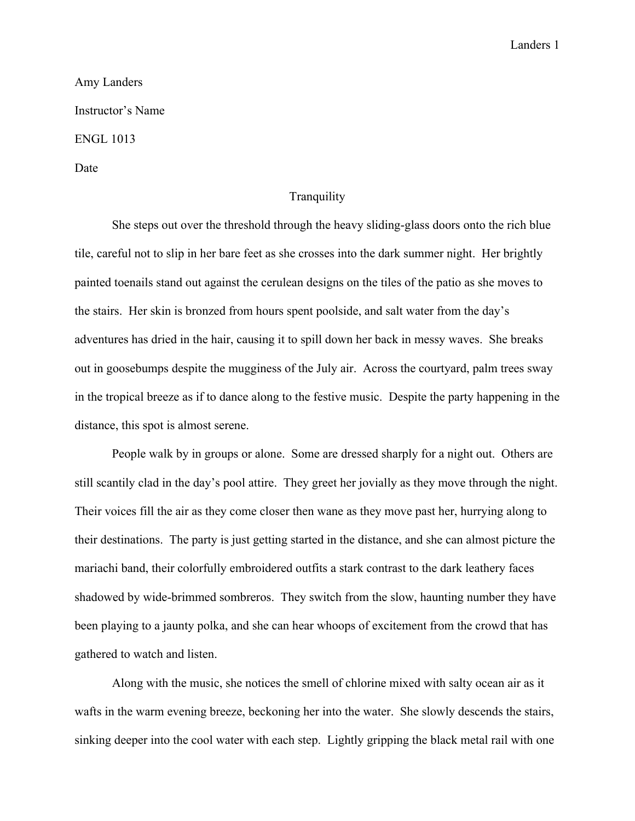Landers 1

Amy Landers Instructor's Name ENGL 1013 Date

## **Tranquility**

She steps out over the threshold through the heavy sliding-glass doors onto the rich blue tile, careful not to slip in her bare feet as she crosses into the dark summer night. Her brightly painted toenails stand out against the cerulean designs on the tiles of the patio as she moves to the stairs. Her skin is bronzed from hours spent poolside, and salt water from the day's adventures has dried in the hair, causing it to spill down her back in messy waves. She breaks out in goosebumps despite the mugginess of the July air. Across the courtyard, palm trees sway in the tropical breeze as if to dance along to the festive music. Despite the party happening in the distance, this spot is almost serene.

People walk by in groups or alone. Some are dressed sharply for a night out. Others are still scantily clad in the day's pool attire. They greet her jovially as they move through the night. Their voices fill the air as they come closer then wane as they move past her, hurrying along to their destinations. The party is just getting started in the distance, and she can almost picture the mariachi band, their colorfully embroidered outfits a stark contrast to the dark leathery faces shadowed by wide-brimmed sombreros. They switch from the slow, haunting number they have been playing to a jaunty polka, and she can hear whoops of excitement from the crowd that has gathered to watch and listen.

Along with the music, she notices the smell of chlorine mixed with salty ocean air as it wafts in the warm evening breeze, beckoning her into the water. She slowly descends the stairs, sinking deeper into the cool water with each step. Lightly gripping the black metal rail with one